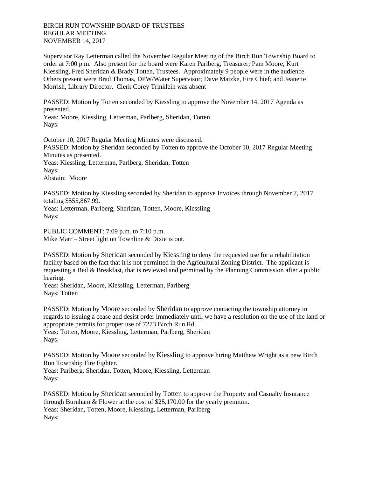## BIRCH RUN TOWNSHIP BOARD OF TRUSTEES REGULAR MEETING NOVEMBER 14, 2017

Supervisor Ray Letterman called the November Regular Meeting of the Birch Run Township Board to order at 7:00 p.m. Also present for the board were Karen Parlberg, Treasurer; Pam Moore, Kurt Kiessling, Fred Sheridan & Brady Totten, Trustees. Approximately 9 people were in the audience. Others present were Brad Thomas, DPW/Water Supervisor; Dave Matzke, Fire Chief; and Jeanette Morrish, Library Director. Clerk Corey Trinklein was absent

PASSED: Motion by Totten seconded by Kiessling to approve the November 14, 2017 Agenda as presented.

Yeas: Moore, Kiessling, Letterman, Parlberg, Sheridan, Totten Nays:

October 10, 2017 Regular Meeting Minutes were discussed. PASSED: Motion by Sheridan seconded by Totten to approve the October 10, 2017 Regular Meeting Minutes as presented. Yeas: Kiessling, Letterman, Parlberg, Sheridan, Totten Nays: Abstain: Moore

PASSED: Motion by Kiessling seconded by Sheridan to approve Invoices through November 7, 2017 totaling \$555,867.99.

Yeas: Letterman, Parlberg, Sheridan, Totten, Moore, Kiessling Nays:

PUBLIC COMMENT: 7:09 p.m. to 7:10 p.m. Mike Marr – Street light on Townline & Dixie is out.

PASSED: Motion by Sheridan seconded by Kiessling to deny the requested use for a rehabilitation facility based on the fact that it is not permitted in the Agricultural Zoning District. The applicant is requesting a Bed & Breakfast, that is reviewed and permitted by the Planning Commission after a public hearing.

Yeas: Sheridan, Moore, Kiessling, Letterman, Parlberg Nays: Totten

PASSED: Motion by Moore seconded by Sheridan to approve contacting the township attorney in regards to issuing a cease and desist order immediately until we have a resolution on the use of the land or appropriate permits for proper use of 7273 Birch Run Rd. Yeas: Totten, Moore, Kiessling, Letterman, Parlberg, Sheridan

Nays:

PASSED: Motion by Moore seconded by Kiessling to approve hiring Matthew Wright as a new Birch Run Township Fire Fighter. Yeas: Parlberg, Sheridan, Totten, Moore, Kiessling, Letterman

Nays:

PASSED: Motion by Sheridan seconded by Totten to approve the Property and Casualty Insurance through Burnham & Flower at the cost of \$25,170.00 for the yearly premium. Yeas: Sheridan, Totten, Moore, Kiessling, Letterman, Parlberg Nays: